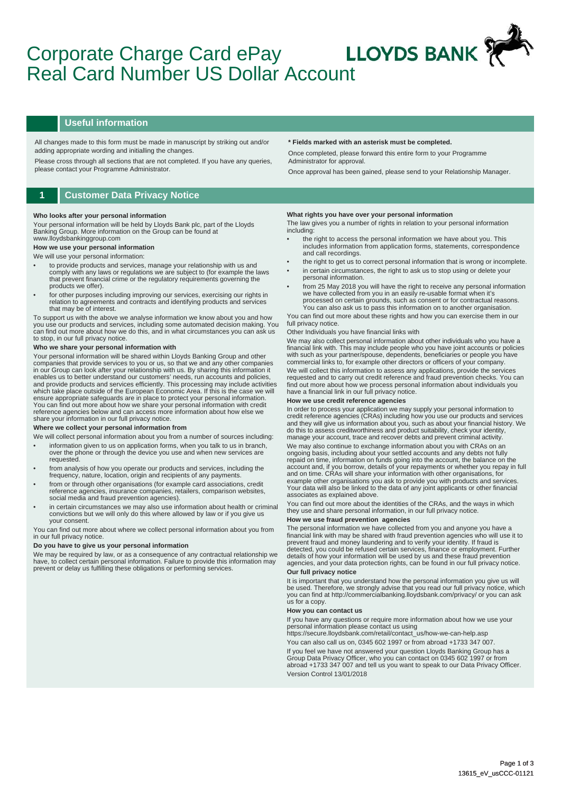# **LLOYDS BANK** Corporate Charge Card ePay Real Card Number US Dollar Account

#### **Useful information**

All changes made to this form must be made in manuscript by striking out and/or adding appropriate wording and initialling the changes.

Please cross through all sections that are not completed. If you have any queries, please contact your Programme Administrator.

### **1 Customer Data Privacy Notice**

#### **Who looks after your personal information**

Your personal information will be held by Lloyds Bank plc, part of the Lloyds Banking Group. More information on the Group can be found at www.lloydsbankinggroup.com

## **How we use your personal information**

### We will use your personal information:

- to provide products and services, manage your relationship with us and comply with any laws or regulations we are subject to (for example the laws that prevent financial crime or the regulatory requirements governing the products we offer).
- for other purposes including improving our services, exercising our rights in relation to agreements and contracts and identifying products and services that may be of interest.

To support us with the above we analyse information we know about you and how you use our products and services, including some automated decision making. You can find out more about how we do this, and in what circumstances you can ask us to stop, in our full privacy notice.

#### **Who we share your personal information with**

Your personal information will be shared within Lloyds Banking Group and other companies that provide services to you or us, so that we and any other companies<br>in our Group can look after your relationship with us. By sharing this information it<br>enables us to better understand our customers' needs, r which take place outside of the European Economic Area. If this is the case we will ensure appropriate safeguards are in place to protect your personal information. You can find out more about how we share your personal information with credit reference agencies below and can access more information about how else we share your information in our full privacy notice.

#### **Where we collect your personal information from**

- We will collect personal information about you from a number of sources including: • information given to us on application forms, when you talk to us in branch, over the phone or through the device you use and when new services are requested.
- from analysis of how you operate our products and services, including the frequency, nature, location, origin and recipients of any payments.
- from or through other organisations (for example card associations, credit reference agencies, insurance companies, retailers, comparison websites, social media and fraud prevention agencies).
- in certain circumstances we may also use information about health or criminal convictions but we will only do this where allowed by law or if you give us your consent.

You can find out more about where we collect personal information about you from in our full privacy notice.

#### **Do you have to give us your personal information**

We may be required by law, or as a consequence of any contractual relationship we have, to collect certain personal information. Failure to provide this information may prevent or delay us fulfilling these obligations or performing services.

#### **\* Fields marked with an asterisk must be completed.**

Once completed, please forward this entire form to your Programme Administrator for approval.

Once approval has been gained, please send to your Relationship Manager.

#### **What rights you have over your personal information**

The law gives you a number of rights in relation to your personal information including:

- the right to access the personal information we have about you. This includes information from application forms, statements, correspondence and call recordings.
- the right to get us to correct personal information that is wrong or incomplete. in certain circumstances, the right to ask us to stop using or delete your
- personal information. • from 25 May 2018 you will have the right to receive any personal information we have collected from you in an easily re-usable format when it's

processed on certain grounds, such as consent or for contractual reasons. You can also ask us to pass this information on to another organisation.

You can find out more about these rights and how you can exercise them in our full privacy notice

#### Other Individuals you have financial links with

We may also collect personal information about other individuals who you have a financial link with. This may include people who you have joint accounts or policies with such as your partner/spouse, dependents, beneficiaries or people you have commercial links to, for example other directors or officers of your company.

We will collect this information to assess any applications, provide the services requested and to carry out credit reference and fraud prevention checks. You can find out more about how we process personal information about individuals you have a financial link in our full privacy notice.

#### **How we use credit reference agencies**

In order to process your application we may supply your personal information to credit reference agencies (CRAs) including how you use our products and services and they will give us information about you, such as about your financial history. We do this to assess creditworthiness and product suitability, check your identity, manage your account, trace and recover debts and prevent criminal activity.

We may also continue to exchange information about you with CRAs on an ongoing basis, including about your settled accounts and any debts not fully repaid on time, information on funds going into the account, the balance on the account and, if you borrow, details of your repayments or whether you repay in full<br>and on time. CRAs will share your information with other organisations, for<br>example other organisations you ask to provide you with produc Your data will also be linked to the data of any joint applicants or other financial associates as explained above.

You can find out more about the identities of the CRAs, and the ways in which they use and share personal information, in our full privacy notice.

#### **How we use fraud prevention agencies**

The personal information we have collected from you and anyone you have a<br>financial link with may be shared with fraud prevention agencies who will use it to<br>prevent fraud and money laundering and to verify your identity. detected, you could be refused certain services, finance or employment. Further details of how your information will be used by us and these fraud prevention agencies, and your data protection rights, can be found in our full privacy notice. **Our full privacy notice** 

It is important that you understand how the personal information you give us will be used. Therefore, we strongly advise that you read our full privacy notice, which you can find at http://commercialbanking.lloydsbank.com/privacy/ or you can ask us for a copy.

#### **How you can contact us**

If you have any questions or require more information about how we use your personal information please contact us using

https://secure.lloydsbank.com/retail/contact\_us/how-we-can-help.asp You can also call us on, 0345 602 1997 or from abroad +1733 347 007. If you feel we have not answered your question Lloyds Banking Group has a Group Data Privacy Officer, who you can contact on 0345 602 1997 or from abroad +1733 347 007 and tell us you want to speak to our Data Privacy Officer. Version Control 13/01/2018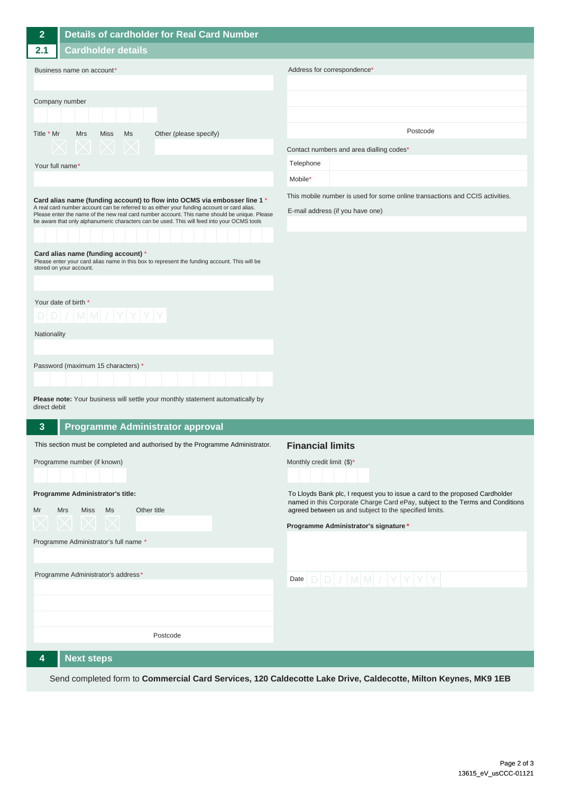| $\overline{2}$                                                                                                                                                                                                                                                                                                                                                                                                                                                                                                                             | <b>Details of cardholder for Real Card Number</b>                                                                                                                                                                                                                |                                                                                                                  |
|--------------------------------------------------------------------------------------------------------------------------------------------------------------------------------------------------------------------------------------------------------------------------------------------------------------------------------------------------------------------------------------------------------------------------------------------------------------------------------------------------------------------------------------------|------------------------------------------------------------------------------------------------------------------------------------------------------------------------------------------------------------------------------------------------------------------|------------------------------------------------------------------------------------------------------------------|
| 2.1                                                                                                                                                                                                                                                                                                                                                                                                                                                                                                                                        | <b>Cardholder details</b>                                                                                                                                                                                                                                        |                                                                                                                  |
| Business name on account*                                                                                                                                                                                                                                                                                                                                                                                                                                                                                                                  |                                                                                                                                                                                                                                                                  | Address for correspondence*                                                                                      |
| Company number                                                                                                                                                                                                                                                                                                                                                                                                                                                                                                                             |                                                                                                                                                                                                                                                                  |                                                                                                                  |
| Title * Mr                                                                                                                                                                                                                                                                                                                                                                                                                                                                                                                                 | <b>Mrs</b><br><b>Miss</b><br>Ms<br>Other (please specify)                                                                                                                                                                                                        | Postcode                                                                                                         |
|                                                                                                                                                                                                                                                                                                                                                                                                                                                                                                                                            |                                                                                                                                                                                                                                                                  | Contact numbers and area dialling codes*                                                                         |
| Your full name*                                                                                                                                                                                                                                                                                                                                                                                                                                                                                                                            |                                                                                                                                                                                                                                                                  | Telephone                                                                                                        |
|                                                                                                                                                                                                                                                                                                                                                                                                                                                                                                                                            |                                                                                                                                                                                                                                                                  | Mobile*                                                                                                          |
| Card alias name (funding account) to flow into OCMS via embosser line 1 *<br>A real card number account can be referred to as either your funding account or card alias.<br>Please enter the name of the new real card number account. This name should be unique. Please<br>be aware that only alphanumeric characters can be used. This will feed into your OCMS tools<br>Card alias name (funding account) *<br>Please enter your card alias name in this box to represent the funding account. This will be<br>stored on your account. |                                                                                                                                                                                                                                                                  | This mobile number is used for some online transactions and CCIS activities.<br>E-mail address (if you have one) |
| Your date of birth *<br>$D[D]/ M M / Y Y Y Y$                                                                                                                                                                                                                                                                                                                                                                                                                                                                                              |                                                                                                                                                                                                                                                                  |                                                                                                                  |
| Nationality                                                                                                                                                                                                                                                                                                                                                                                                                                                                                                                                |                                                                                                                                                                                                                                                                  |                                                                                                                  |
| direct debit                                                                                                                                                                                                                                                                                                                                                                                                                                                                                                                               | Password (maximum 15 characters) *<br>Please note: Your business will settle your monthly statement automatically by                                                                                                                                             |                                                                                                                  |
| $\mathbf{3}$                                                                                                                                                                                                                                                                                                                                                                                                                                                                                                                               | <b>Programme Administrator approval</b>                                                                                                                                                                                                                          |                                                                                                                  |
|                                                                                                                                                                                                                                                                                                                                                                                                                                                                                                                                            | This section must be completed and authorised by the Programme Administrator.                                                                                                                                                                                    | <b>Financial limits</b>                                                                                          |
| Programme number (if known)<br>Monthly credit limit $(\$)^*$<br>Programme Administrator's title:<br>Miss Ms<br>Other title<br>Mr<br>Mrs<br>ハ ハ レ<br>Programme Administrator's full name *                                                                                                                                                                                                                                                                                                                                                  | To Lloyds Bank plc, I request you to issue a card to the proposed Cardholder<br>named in this Corporate Charge Card ePay, subject to the Terms and Conditions<br>agreed between us and subject to the specified limits.<br>Programme Administrator's signature * |                                                                                                                  |
|                                                                                                                                                                                                                                                                                                                                                                                                                                                                                                                                            | Programme Administrator's address*                                                                                                                                                                                                                               | Date $D D  /  M M  /  Y Y Y $                                                                                    |
|                                                                                                                                                                                                                                                                                                                                                                                                                                                                                                                                            |                                                                                                                                                                                                                                                                  |                                                                                                                  |
|                                                                                                                                                                                                                                                                                                                                                                                                                                                                                                                                            | Postcode                                                                                                                                                                                                                                                         |                                                                                                                  |
| 4                                                                                                                                                                                                                                                                                                                                                                                                                                                                                                                                          | <b>Next steps</b>                                                                                                                                                                                                                                                |                                                                                                                  |

Send completed form to **Commercial Card Services, 120 Caldecotte Lake Drive, Caldecotte, Milton Keynes, MK9 1EB**